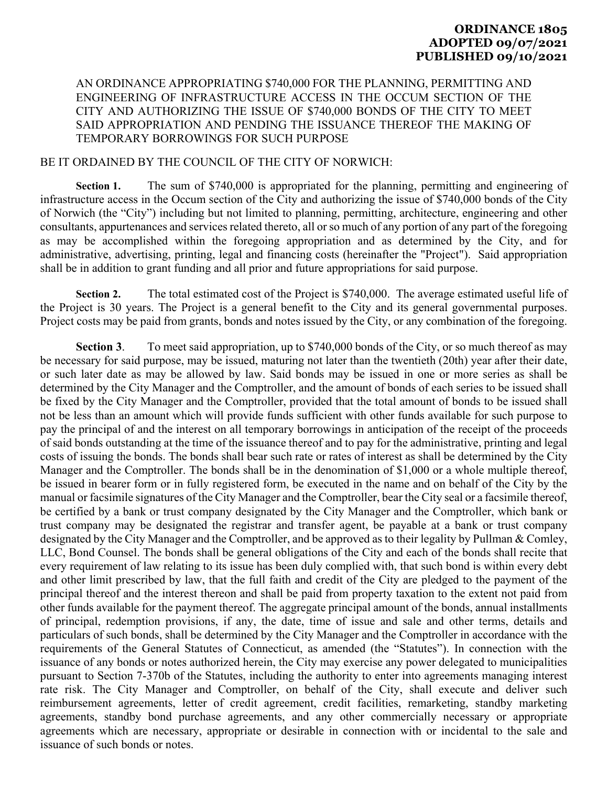## **ORDINANCE 1805 ADOPTED 09/07/2021 PUBLISHED 09/10/2021**

## AN ORDINANCE APPROPRIATING \$740,000 FOR THE PLANNING, PERMITTING AND ENGINEERING OF INFRASTRUCTURE ACCESS IN THE OCCUM SECTION OF THE CITY AND AUTHORIZING THE ISSUE OF \$740,000 BONDS OF THE CITY TO MEET SAID APPROPRIATION AND PENDING THE ISSUANCE THEREOF THE MAKING OF TEMPORARY BORROWINGS FOR SUCH PURPOSE

## BE IT ORDAINED BY THE COUNCIL OF THE CITY OF NORWICH:

Section 1. The sum of \$740,000 is appropriated for the planning, permitting and engineering of infrastructure access in the Occum section of the City and authorizing the issue of \$740,000 bonds of the City of Norwich (the "City") including but not limited to planning, permitting, architecture, engineering and other consultants, appurtenances and services related thereto, all or so much of any portion of any part of the foregoing as may be accomplished within the foregoing appropriation and as determined by the City, and for administrative, advertising, printing, legal and financing costs (hereinafter the "Project"). Said appropriation shall be in addition to grant funding and all prior and future appropriations for said purpose.

**Section 2.** The total estimated cost of the Project is \$740,000. The average estimated useful life of the Project is 30 years. The Project is a general benefit to the City and its general governmental purposes. Project costs may be paid from grants, bonds and notes issued by the City, or any combination of the foregoing.

**Section 3**. To meet said appropriation, up to \$740,000 bonds of the City, or so much thereof as may be necessary for said purpose, may be issued, maturing not later than the twentieth (20th) year after their date, or such later date as may be allowed by law. Said bonds may be issued in one or more series as shall be determined by the City Manager and the Comptroller, and the amount of bonds of each series to be issued shall be fixed by the City Manager and the Comptroller, provided that the total amount of bonds to be issued shall not be less than an amount which will provide funds sufficient with other funds available for such purpose to pay the principal of and the interest on all temporary borrowings in anticipation of the receipt of the proceeds of said bonds outstanding at the time of the issuance thereof and to pay for the administrative, printing and legal costs of issuing the bonds. The bonds shall bear such rate or rates of interest as shall be determined by the City Manager and the Comptroller. The bonds shall be in the denomination of \$1,000 or a whole multiple thereof, be issued in bearer form or in fully registered form, be executed in the name and on behalf of the City by the manual or facsimile signatures of the City Manager and the Comptroller, bear the City seal or a facsimile thereof, be certified by a bank or trust company designated by the City Manager and the Comptroller, which bank or trust company may be designated the registrar and transfer agent, be payable at a bank or trust company designated by the City Manager and the Comptroller, and be approved as to their legality by Pullman & Comley, LLC, Bond Counsel. The bonds shall be general obligations of the City and each of the bonds shall recite that every requirement of law relating to its issue has been duly complied with, that such bond is within every debt and other limit prescribed by law, that the full faith and credit of the City are pledged to the payment of the principal thereof and the interest thereon and shall be paid from property taxation to the extent not paid from other funds available for the payment thereof. The aggregate principal amount of the bonds, annual installments of principal, redemption provisions, if any, the date, time of issue and sale and other terms, details and particulars of such bonds, shall be determined by the City Manager and the Comptroller in accordance with the requirements of the General Statutes of Connecticut, as amended (the "Statutes"). In connection with the issuance of any bonds or notes authorized herein, the City may exercise any power delegated to municipalities pursuant to Section 7-370b of the Statutes, including the authority to enter into agreements managing interest rate risk. The City Manager and Comptroller, on behalf of the City, shall execute and deliver such reimbursement agreements, letter of credit agreement, credit facilities, remarketing, standby marketing agreements, standby bond purchase agreements, and any other commercially necessary or appropriate agreements which are necessary, appropriate or desirable in connection with or incidental to the sale and issuance of such bonds or notes.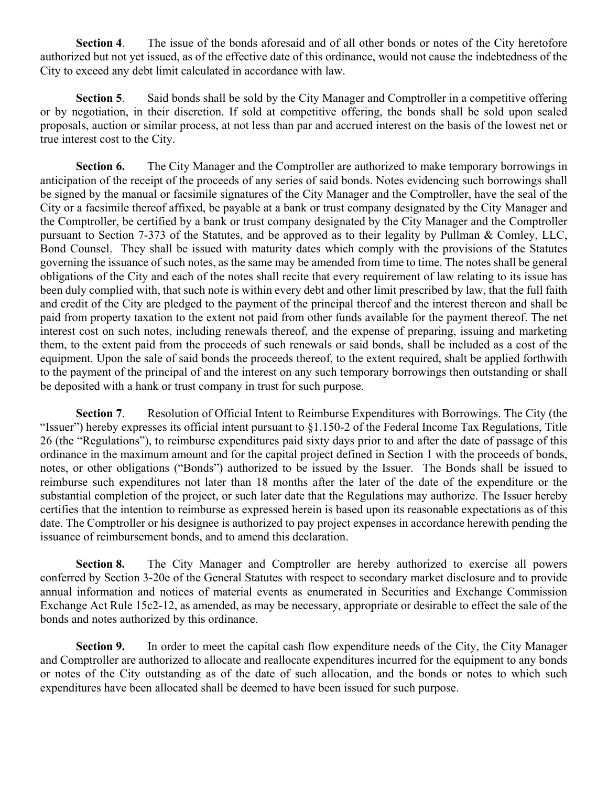**Section 4**. The issue of the bonds aforesaid and of all other bonds or notes of the City heretofore authorized but not yet issued, as of the effective date of this ordinance, would not cause the indebtedness of the City to exceed any debt limit calculated in accordance with law.

**Section 5.** Said bonds shall be sold by the City Manager and Comptroller in a competitive offering or by negotiation, in their discretion. If sold at competitive offering, the bonds shall be sold upon sealed proposals, auction or similar process, at not less than par and accrued interest on the basis of the lowest net or true interest cost to the City.

**Section 6.** The City Manager and the Comptroller are authorized to make temporary borrowings in anticipation of the receipt of the proceeds of any series of said bonds. Notes evidencing such borrowings shall be signed by the manual or facsimile signatures of the City Manager and the Comptroller, have the seal of the City or a facsimile thereof affixed, be payable at a bank or trust company designated by the City Manager and the Comptroller, be certified by a bank or trust company designated by the City Manager and the Comptroller pursuant to Section 7-373 of the Statutes, and be approved as to their legality by Pullman & Comley, LLC, Bond Counsel. They shall be issued with maturity dates which comply with the provisions of the Statutes governing the issuance of such notes, as the same may be amended from time to time. The notes shall be general obligations of the City and each of the notes shall recite that every requirement of law relating to its issue has been duly complied with, that such note is within every debt and other limit prescribed by law, that the full faith and credit of the City are pledged to the payment of the principal thereof and the interest thereon and shall be paid from property taxation to the extent not paid from other funds available for the payment thereof. The net interest cost on such notes, including renewals thereof, and the expense of preparing, issuing and marketing them, to the extent paid from the proceeds of such renewals or said bonds, shall be included as a cost of the equipment. Upon the sale of said bonds the proceeds thereof, to the extent required, shalt be applied forthwith to the payment of the principal of and the interest on any such temporary borrowings then outstanding or shall be deposited with a hank or trust company in trust for such purpose.

**Section 7**. Resolution of Official Intent to Reimburse Expenditures with Borrowings. The City (the "Issuer") hereby expresses its official intent pursuant to §1.150-2 of the Federal Income Tax Regulations, Title 26 (the "Regulations"), to reimburse expenditures paid sixty days prior to and after the date of passage of this ordinance in the maximum amount and for the capital project defined in Section 1 with the proceeds of bonds, notes, or other obligations ("Bonds") authorized to be issued by the Issuer. The Bonds shall be issued to reimburse such expenditures not later than 18 months after the later of the date of the expenditure or the substantial completion of the project, or such later date that the Regulations may authorize. The Issuer hereby certifies that the intention to reimburse as expressed herein is based upon its reasonable expectations as of this date. The Comptroller or his designee is authorized to pay project expenses in accordance herewith pending the issuance of reimbursement bonds, and to amend this declaration.

**Section 8.** The City Manager and Comptroller are hereby authorized to exercise all powers conferred by Section 3-20e of the General Statutes with respect to secondary market disclosure and to provide annual information and notices of material events as enumerated in Securities and Exchange Commission Exchange Act Rule 15c2-12, as amended, as may be necessary, appropriate or desirable to effect the sale of the bonds and notes authorized by this ordinance.

**Section 9.** In order to meet the capital cash flow expenditure needs of the City, the City Manager and Comptroller are authorized to allocate and reallocate expenditures incurred for the equipment to any bonds or notes of the City outstanding as of the date of such allocation, and the bonds or notes to which such expenditures have been allocated shall be deemed to have been issued for such purpose.